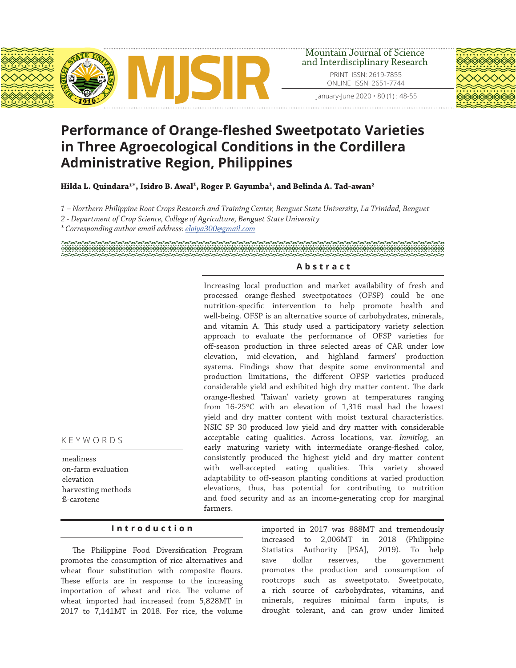

PRINT ISSN: 2619-7855 ONLINE ISSN: 2651-7744



# **Performance of Orange-fleshed Sweetpotato Varieties in Three Agroecological Conditions in the Cordillera Administrative Region, Philippines**

Hilda L. Quindara<sup>1\*</sup>, Isidro B. Awal<sup>1</sup>, Roger P. Gayumba<sup>1</sup>, and Belinda A. Tad-awan<sup>2</sup>

*1 – Northern Philippine Root Crops Research and Training Center, Benguet State University, La Trinidad, Benguet*

- *2 Department of Crop Science, College of Agriculture, Benguet State University*
- *\* Corresponding author email address: eloiya300@gmail.com*

# **Abstract**

Increasing local production and market availability of fresh and processed orange-fleshed sweetpotatoes (OFSP) could be one nutrition-specific intervention to help promote health and well-being. OFSP is an alternative source of carbohydrates, minerals, and vitamin A. This study used a participatory variety selection approach to evaluate the performance of OFSP varieties for off-season production in three selected areas of CAR under low elevation, mid-elevation, and highland farmers' production systems. Findings show that despite some environmental and production limitations, the different OFSP varieties produced considerable yield and exhibited high dry matter content. The dark orange-fleshed 'Taiwan' variety grown at temperatures ranging from  $16-25\degree$ C with an elevation of 1,316 masl had the lowest yield and dry matter content with moist textural characteristics. NSIC SP 30 produced low yield and dry matter with considerable acceptable eating qualities. Across locations, var. *Inmitlog*, an early maturing variety with intermediate orange-fleshed color, consistently produced the highest yield and dry matter content with well-accepted eating qualities. This variety showed adaptability to off-season planting conditions at varied production elevations, thus, has potential for contributing to nutrition and food security and as an income-generating crop for marginal farmers.

KEYWORDS

mealiness on-farm evaluation elevation harvesting methods ß-carotene

# **Introduction**

The Philippine Food Diversification Program promotes the consumption of rice alternatives and wheat flour substitution with composite flours. These efforts are in response to the increasing importation of wheat and rice. The volume of wheat imported had increased from 5,828MT in 2017 to 7,141MT in 2018. For rice, the volume

imported in 2017 was 888MT and tremendously increased to 2,006MT in 2018 (Philippine Statistics Authority [PSA], 2019). To help save dollar reserves, the government promotes the production and consumption of rootcrops such as sweetpotato. Sweetpotato, a rich source of carbohydrates, vitamins, and minerals, requires minimal farm inputs, is drought tolerant, and can grow under limited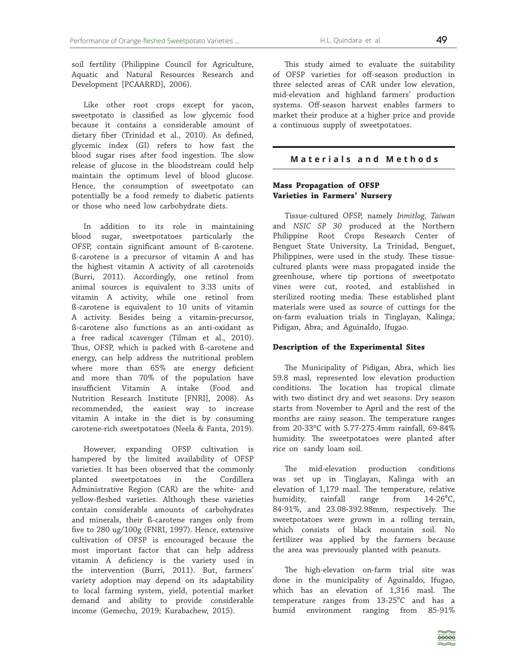soil fertility (Philippine Council for Agriculture, Aquatic and Natural Resources Research and Development [PCAARRD], 2006).

Like other root crops except for yacon, sweetpotato is classified as low glycemic food because it contains a considerable amount of dietary fiber (Trinidad et al., 2010). As defined, glycemic index (GI) refers to how fast the blood sugar rises after food ingestion. The slow release of glucose in the bloodstream could help maintain the optimum level of blood glucose. Hence, the consumption of sweetpotato can potentially be a food remedy to diabetic patients or those who need low carbohydrate diets.

In addition to its role in maintaining blood sugar, sweetpotatoes particularly the OFSP, contain significant amount of ß-carotene. ß-carotene is a precursor of vitamin A and has the highest vitamin A activity of all carotenoids (Burri, 2011). Accordingly, one retinol from animal sources is equivalent to 3.33 units of vitamin A activity, while one retinol from ß-carotene is equivalent to 10 units of vitamin A activity. Besides being a vitamin-precursor, ß-carotene also functions as an anti-oxidant as a free radical scavenger (Tilman et al., 2010). Thus, OFSP, which is packed with ß-carotene and energy, can help address the nutritional problem where more than 65% are energy deficient and more than 70% of the population have insufficient Vitamin A intake (Food and Nutrition Research Institute [FNRI], 2008). As recommended, the easiest way to increase vitamin A intake in the diet is by consuming carotene-rich sweetpotatoes (Neela & Fanta, 2019).

However, expanding OFSP cultivation is hampered by the limited availability of OFSP varieties. It has been observed that the commonly planted sweetpotatoes in the Cordillera Administrative Region (CAR) are the white- and yellow-fleshed varieties. Although these varieties contain considerable amounts of carbohydrates and minerals, their ß-carotene ranges only from five to 280 ug/100g (FNRI, 1997). Hence, extensive cultivation of OFSP is encouraged because the most important factor that can help address vitamin A deficiency is the variety used in the intervention (Burri, 2011). But, farmers' variety adoption may depend on its adaptability to local farming system, yield, potential market demand and ability to provide considerable income (Gemechu, 2019; Kurabachew, 2015).

This study aimed to evaluate the suitability of OFSP varieties for off-season production in three selected areas of CAR under low elevation, mid-elevation and highland farmers' production systems. Off-season harvest enables farmers to market their produce at a higher price and provide a continuous supply of sweetpotatoes.

## **Materials and Methods**

## **Mass Propagation of OFSP Varieties in Farmers' Nursery**

Tissue-cultured OFSP, namely *Inmitlog, Taiwan* and *NSIC SP 30* produced at the Northern Philippine Root Crops Research Center of Benguet State University, La Trinidad, Benguet, Philippines, were used in the study. These tissuecultured plants were mass propagated inside the greenhouse, where tip portions of sweetpotato vines were cut, rooted, and established in sterilized rooting media. These established plant materials were used as source of cuttings for the on-farm evaluation trials in Tinglayan, Kalinga; Pidigan, Abra; and Aguinaldo, Ifugao.

#### **Description of the Experimental Sites**

The Municipality of Pidigan, Abra, which lies 59.8 masl, represented low elevation production conditions. The location has tropical climate with two distinct dry and wet seasons. Dry season starts from November to April and the rest of the months are rainy season. The temperature ranges from 20-33°C with 5.77-275.4mm rainfall, 69-84% humidity. The sweetpotatoes were planted after rice on sandy loam soil.

The mid-elevation production conditions was set up in Tinglayan, Kalinga with an elevation of 1,179 masl. The temperature, relative humidity, rainfall range from 14-26<sup>°</sup>C, 84-91%, and 23.08-392.98mm, respectively. The sweetpotatoes were grown in a rolling terrain, which consists of black mountain soil. No fertilizer was applied by the farmers because the area was previously planted with peanuts.

The high-elevation on-farm trial site was done in the municipality of Aguinaldo, Ifugao, which has an elevation of 1,316 masl. The temperature ranges from 13-25°C and has a humid environment ranging from 85-91%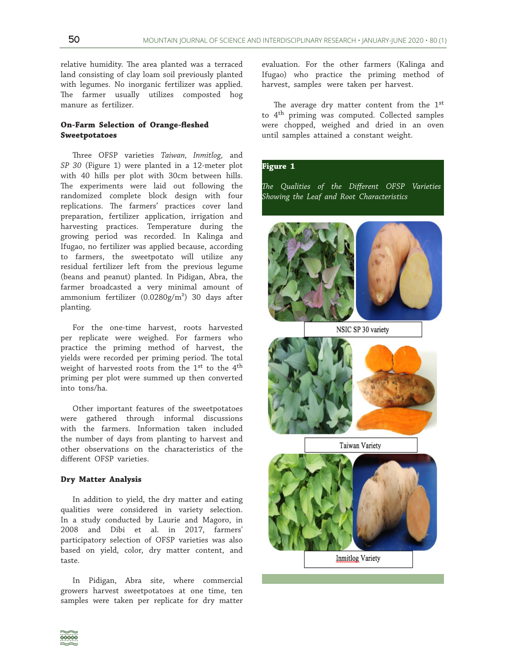relative humidity. The area planted was a terraced land consisting of clay loam soil previously planted with legumes. No inorganic fertilizer was applied. The farmer usually utilizes composted hog manure as fertilizer.

## **On-Farm Selection of Orange-fleshed Sweetpotatoes**

Three OFSP varieties *Taiwan, Inmitlog,* and *SP 30* (Figure 1) were planted in a 12-meter plot with 40 hills per plot with 30cm between hills. The experiments were laid out following the randomized complete block design with four replications. The farmers' practices cover land preparation, fertilizer application, irrigation and harvesting practices. Temperature during the growing period was recorded. In Kalinga and Ifugao, no fertilizer was applied because, according to farmers, the sweetpotato will utilize any residual fertilizer left from the previous legume (beans and peanut) planted. In Pidigan, Abra, the farmer broadcasted a very minimal amount of ammonium fertilizer  $(0.0280g/m^2)$  30 days after planting.

For the one-time harvest, roots harvested per replicate were weighed. For farmers who practice the priming method of harvest, the yields were recorded per priming period. The total weight of harvested roots from the 1st to the 4th priming per plot were summed up then converted into tons/ha.

Other important features of the sweetpotatoes were gathered through informal discussions with the farmers. Information taken included the number of days from planting to harvest and other observations on the characteristics of the different OFSP varieties.

#### **Dry Matter Analysis**

In addition to yield, the dry matter and eating qualities were considered in variety selection. In a study conducted by Laurie and Magoro, in 2008 and Dibi et al. in 2017, farmers' participatory selection of OFSP varieties was also based on yield, color, dry matter content, and taste.

In Pidigan, Abra site, where commercial growers harvest sweetpotatoes at one time, ten samples were taken per replicate for dry matter

evaluation. For the other farmers (Kalinga and Ifugao) who practice the priming method of harvest, samples were taken per harvest.

The average dry matter content from the 1<sup>st</sup> to 4th priming was computed. Collected samples were chopped, weighed and dried in an oven until samples attained a constant weight.

## **Figure 1**

*The Qualities of the Different OFSP Varieties Showing the Leaf and Root Characteristics* 



NSIC SP 30 variety







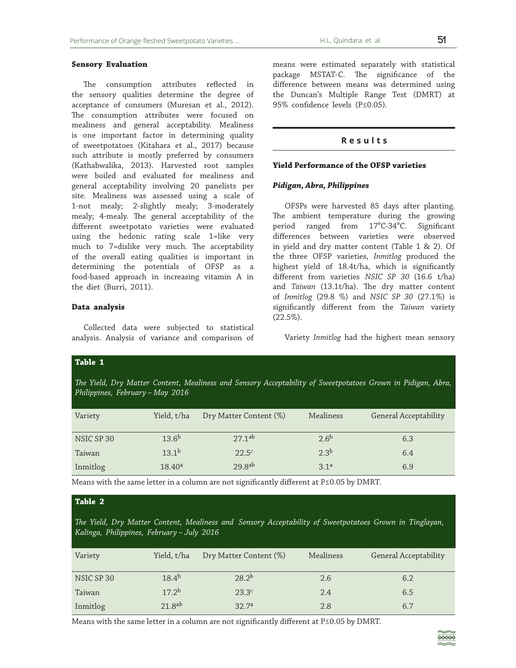## **Sensory Evaluation**

The consumption attributes reflected in the sensory qualities determine the degree of acceptance of consumers (Muresan et al., 2012). The consumption attributes were focused on mealiness and general acceptability. Mealiness is one important factor in determining quality of sweetpotatoes (Kitahara et al., 2017) because such attribute is mostly preferred by consumers (Kathabwalika, 2013). Harvested root samples were boiled and evaluated for mealiness and general acceptability involving 20 panelists per site. Mealiness was assessed using a scale of 1-not mealy; 2-slightly mealy; 3-moderately mealy; 4-mealy. The general acceptability of the different sweetpotato varieties were evaluated using the hedonic rating scale 1=like very much to 7=dislike very much. The acceptability of the overall eating qualities is important in determining the potentials of OFSP as a food-based approach in increasing vitamin A in the diet (Burri, 2011).

### **Data analysis**

Collected data were subjected to statistical analysis. Analysis of variance and comparison of means were estimated separately with statistical package MSTAT-C. The significance of the difference between means was determined using the Duncan's Multiple Range Test (DMRT) at 95% confidence levels (P≤0.05).

## **Results**

#### **Yield Performance of the OFSP varieties**

#### *Pidigan, Abra, Philippines*

OFSPs were harvested 85 days after planting. The ambient temperature during the growing period ranged from 17<sup>°</sup>C-34<sup>°</sup>C. Significant differences between varieties were observed in yield and dry matter content (Table 1 & 2). Of the three OFSP varieties, *Inmitlog* produced the highest yield of 18.4t/ha, which is significantly different from varieties *NSIC SP 30* (16.6 t/ha) and *Taiwan* (13.1t/ha). The dry matter content of *Inmitlog* (29.8 %) and *NSIC SP 30* (27.1%) is significantly different from the *Taiwan* variety (22.5%).

Variety *Inmitlog* had the highest mean sensory

| Table 1                                                                                                                                         |                    |                        |                  |                       |  |  |  |
|-------------------------------------------------------------------------------------------------------------------------------------------------|--------------------|------------------------|------------------|-----------------------|--|--|--|
| The Yield, Dry Matter Content, Mealiness and Sensory Acceptability of Sweetpotatoes Grown in Pidigan, Abra,<br>Philippines, February - May 2016 |                    |                        |                  |                       |  |  |  |
| Variety                                                                                                                                         | Yield, t/ha        | Dry Matter Content (%) | Mealiness        | General Acceptability |  |  |  |
| NSIC SP 30                                                                                                                                      | $13.6^{b}$         | 271ab                  | 2.6 <sup>b</sup> | 6.3                   |  |  |  |
| Taiwan                                                                                                                                          | 13.1 <sup>b</sup>  | $22.5^{\circ}$         | 2.3 <sup>b</sup> | 6.4                   |  |  |  |
| Inmitlog                                                                                                                                        | 18.40 <sup>a</sup> | 29.8 <sup>ab</sup>     | 3.1 <sup>a</sup> | 6.9                   |  |  |  |

Means with the same letter in a column are not significantly different at P≤0.05 by DMRT.

## **Table 2**

*The Yield, Dry Matter Content, Mealiness and Sensory Acceptability of Sweetpotatoes Grown in Tinglayan, Kalinga, Philippines, February – July 2016*

| Variety    | Yield, t/ha        | Dry Matter Content (%) | Mealiness | General Acceptability |
|------------|--------------------|------------------------|-----------|-----------------------|
| NSIC SP 30 | $18.4^{b}$         | $28.2^{b}$             | 2.6       | 6.2                   |
| Taiwan     | 17.2 <sup>b</sup>  | $23.3^c$               | 2.4       | 6.5                   |
| Inmitlog   | 21.8 <sup>ab</sup> | 32.7 <sup>a</sup>      | 2.8       | 6.7                   |

Means with the same letter in a column are not significantly different at P≤0.05 by DMRT.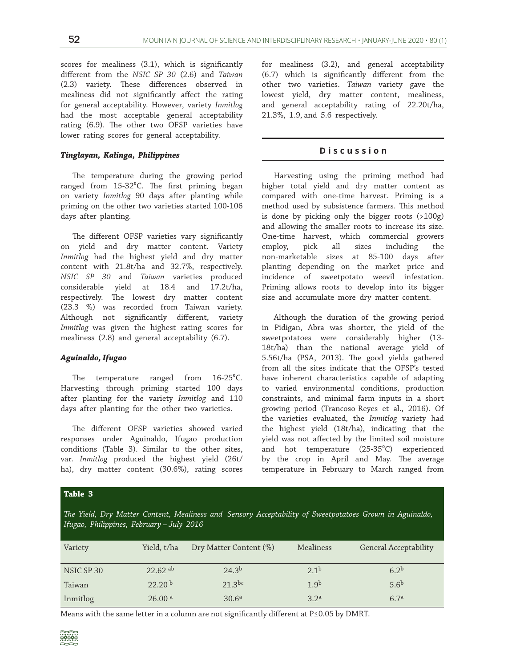scores for mealiness (3.1), which is significantly different from the *NSIC SP 30* (2.6) and *Taiwan*  (2.3) variety. These differences observed in mealiness did not significantly affect the rating for general acceptability. However, variety *Inmitlog* had the most acceptable general acceptability rating (6.9). The other two OFSP varieties have lower rating scores for general acceptability.

## *Tinglayan, Kalinga, Philippines*

The temperature during the growing period ranged from 15-32°C. The first priming began on variety *Inmitlog* 90 days after planting while priming on the other two varieties started 100-106 days after planting.

The different OFSP varieties vary significantly on yield and dry matter content. Variety *Inmitlog* had the highest yield and dry matter content with 21.8t/ha and 32.7%, respectively. *NSIC SP 30* and *Taiwan* varieties produced considerable yield at 18.4 and 17.2t/ha, respectively. The lowest dry matter content (23.3 %) was recorded from Taiwan variety. Although not significantly different, variety *Inmitlog* was given the highest rating scores for mealiness (2.8) and general acceptability (6.7).

## *Aguinaldo, Ifugao*

The temperature ranged from  $16-25^{\circ}$ C. Harvesting through priming started 100 days after planting for the variety *Inmitlog* and 110 days after planting for the other two varieties.

The different OFSP varieties showed varied responses under Aguinaldo, Ifugao production conditions (Table 3). Similar to the other sites, var. *Inmitlog* produced the highest yield (26t/ ha), dry matter content (30.6%), rating scores

for mealiness (3.2), and general acceptability (6.7) which is significantly different from the other two varieties. *Taiwan* variety gave the lowest yield, dry matter content, mealiness, and general acceptability rating of 22.20t/ha, 21.3%, 1.9, and 5.6 respectively.

#### **Discussion**

Harvesting using the priming method had higher total yield and dry matter content as compared with one-time harvest. Priming is a method used by subsistence farmers. This method is done by picking only the bigger roots (>100g) and allowing the smaller roots to increase its size. One-time harvest, which commercial growers employ, pick all sizes including the non-marketable sizes at 85-100 days after planting depending on the market price and incidence of sweetpotato weevil infestation. Priming allows roots to develop into its bigger size and accumulate more dry matter content.

Although the duration of the growing period in Pidigan, Abra was shorter, the yield of the sweetpotatoes were considerably higher (13- 18t/ha) than the national average yield of 5.56t/ha (PSA, 2013). The good yields gathered from all the sites indicate that the OFSP's tested have inherent characteristics capable of adapting to varied environmental conditions, production constraints, and minimal farm inputs in a short growing period (Trancoso-Reyes et al., 2016). Of the varieties evaluated, the *Inmitlog* variety had the highest yield (18t/ha), indicating that the yield was not affected by the limited soil moisture and hot temperature (25-35°C) experienced by the crop in April and May. The average temperature in February to March ranged from

## **Table 3**

*The Yield, Dry Matter Content, Mealiness and Sensory Acceptability of Sweetpotatoes Grown in Aguinaldo, Ifugao, Philippines, February – July 2016*

| Variety    | Yield, t/ha           | Dry Matter Content (%) | Mealiness        | General Acceptability |
|------------|-----------------------|------------------------|------------------|-----------------------|
| NSIC SP 30 | $22.62$ <sup>ab</sup> | 24.3 <sup>b</sup>      | 2.1 <sup>b</sup> | 6.2 <sup>b</sup>      |
| Taiwan     | 22.20 <sup>b</sup>    | $21.3^{bc}$            | 1.9 <sup>b</sup> | 5.6 <sup>b</sup>      |
| Inmitlog   | 26.00 <sup>a</sup>    | 30.6 <sup>a</sup>      | 3.2 <sup>a</sup> | 6.7 <sup>a</sup>      |

Means with the same letter in a column are not significantly different at P≤0.05 by DMRT.

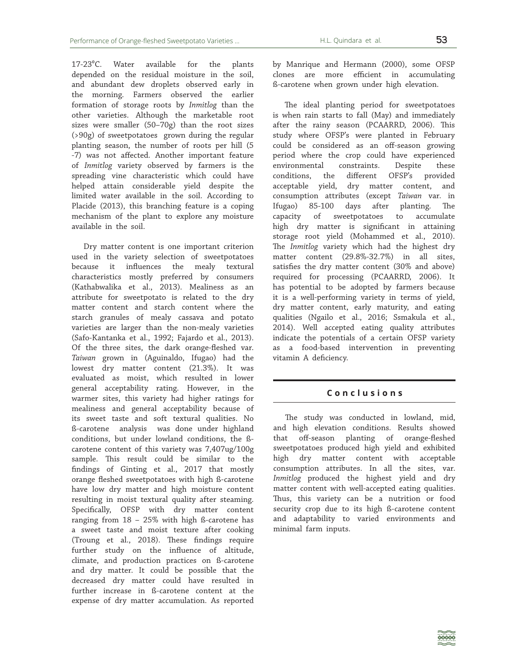17-23<sup>°</sup>C. Water available for the plants depended on the residual moisture in the soil, and abundant dew droplets observed early in the morning. Farmers observed the earlier formation of storage roots by *Inmitlog* than the other varieties. Although the marketable root sizes were smaller (50–70g) than the root sizes (>90g) of sweetpotatoes grown during the regular planting season, the number of roots per hill (5 -7) was not affected. Another important feature of *Inmitlog* variety observed by farmers is the spreading vine characteristic which could have helped attain considerable yield despite the limited water available in the soil. According to Placide (2013), this branching feature is a coping mechanism of the plant to explore any moisture available in the soil.

Dry matter content is one important criterion used in the variety selection of sweetpotatoes because it influences the mealy textural characteristics mostly preferred by consumers (Kathabwalika et al., 2013). Mealiness as an attribute for sweetpotato is related to the dry matter content and starch content where the starch granules of mealy cassava and potato varieties are larger than the non-mealy varieties (Safo-Kantanka et al., 1992; Fajardo et al., 2013). Of the three sites, the dark orange-fleshed var. *Taiwan* grown in (Aguinaldo, Ifugao) had the lowest dry matter content (21.3%). It was evaluated as moist, which resulted in lower general acceptability rating. However, in the warmer sites, this variety had higher ratings for mealiness and general acceptability because of its sweet taste and soft textural qualities. No ß-carotene analysis was done under highland conditions, but under lowland conditions, the ßcarotene content of this variety was 7,407ug/100g sample. This result could be similar to the findings of Ginting et al., 2017 that mostly orange fleshed sweetpotatoes with high ß-carotene have low dry matter and high moisture content resulting in moist textural quality after steaming. Specifically, OFSP with dry matter content ranging from 18 – 25% with high ß-carotene has a sweet taste and moist texture after cooking (Troung et al., 2018). These findings require further study on the influence of altitude, climate, and production practices on ß-carotene and dry matter. It could be possible that the decreased dry matter could have resulted in further increase in ß-carotene content at the expense of dry matter accumulation. As reported by Manrique and Hermann (2000), some OFSP clones are more efficient in accumulating ß-carotene when grown under high elevation.

The ideal planting period for sweetpotatoes is when rain starts to fall (May) and immediately after the rainy season (PCAARRD, 2006). This study where OFSP's were planted in February could be considered as an off-season growing period where the crop could have experienced environmental constraints. Despite these conditions, the different OFSP's provided acceptable yield, dry matter content, and consumption attributes (except *Taiwan* var. in Ifugao) 85-100 days after planting. The capacity of sweetpotatoes to accumulate high dry matter is significant in attaining storage root yield (Mohammed et al., 2010). The *Inmitlog* variety which had the highest dry matter content (29.8%-32.7%) in all sites, satisfies the dry matter content (30% and above) required for processing (PCAARRD, 2006). It has potential to be adopted by farmers because it is a well-performing variety in terms of yield, dry matter content, early maturity, and eating qualities (Ngailo et al., 2016; Ssmakula et al., 2014). Well accepted eating quality attributes indicate the potentials of a certain OFSP variety as a food-based intervention in preventing vitamin A deficiency.

## **Conclusions**

The study was conducted in lowland, mid, and high elevation conditions. Results showed that off-season planting of orange-fleshed sweetpotatoes produced high yield and exhibited high dry matter content with acceptable consumption attributes. In all the sites, var. *Inmitlog* produced the highest yield and dry matter content with well-accepted eating qualities. Thus, this variety can be a nutrition or food security crop due to its high ß-carotene content and adaptability to varied environments and minimal farm inputs.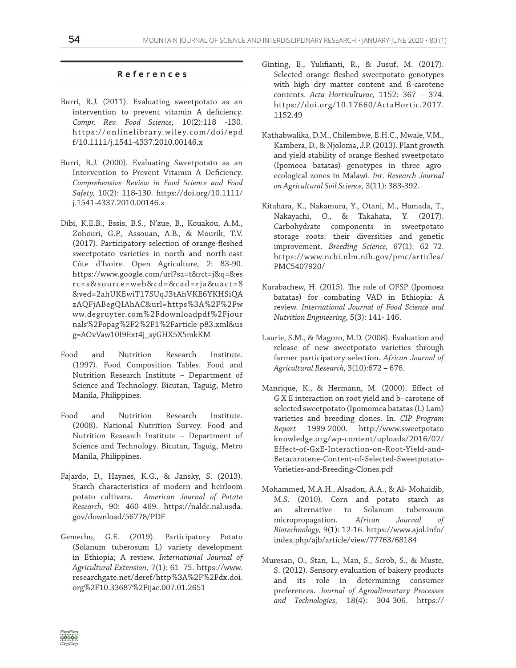## **References**

- Burri, B.J. (2011). Evaluating sweetpotato as an intervention to prevent vitamin A deficiency. *Compr. Rev. Food Science,* 10(2):118 -130. https://onlinelibrary.wiley.com/doi/epd f/10.1111/j.1541-4337.2010.00146.x
- Burri, B.J. (2000). Evaluating Sweetpotato as an Intervention to Prevent Vitamin A Deficiency. *Comprehensive Review in Food Science and Food Safety,* 10(2): 118-130. https://doi.org/10.1111/ j.1541-4337.2010.00146.x
- Dibi, K.E.B., Essis, B.S., N'zue, B., Kouakou, A.M., Zohouri, G.P., Assouan, A.B., & Mourik, T.V. (2017). Participatory selection of orange-fleshed sweetpotato varieties in north and north-east Côte d'Ivoire. Open Agriculture, 2: 83-90. https://www.google.com/url?sa=t&rct=j&q=&es rc=s&source=web&cd=&cad=rja&uact=8 &ved=2ahUKEwiT17SUqJ3tAhVKE6YKHSiQA zAQFjABegQIAhAC&url=https%3A%2F%2Fw ww.degruyter.com%2Fdownloadpdf%2Fjour nals%2Fopag%2F2%2F1%2Farticle-p83.xml&us g=AOvVaw10I9Ext4j\_syGHX5X5mkKM
- Food and Nutrition Research Institute. (1997). Food Composition Tables. Food and Nutrition Research Institute – Department of Science and Technology. Bicutan, Taguig, Metro Manila, Philippines.
- Food and Nutrition Research Institute. (2008). National Nutrition Survey. Food and Nutrition Research Institute – Department of Science and Technology. Bicutan, Taguig, Metro Manila, Philippines.
- Fajardo, D., Haynes, K.G., & Jansky, S. (2013). Starch characteristics of modern and heirloom potato cultivars. *American Journal of Potato Research,* 90: 460–469. https://naldc.nal.usda. gov/download/56778/PDF
- Gemechu, G.E. (2019). Participatory Potato (Solanum tuberosum L) variety development in Ethiopia; A review. *International Journal of Agricultural Extension,* 7(1): 61–75. https://www. researchgate.net/deref/http%3A%2F%2Fdx.doi. org%2F10.33687%2Fijae.007.01.2651
- Ginting, E., Yulifianti, R., & Jusuf, M. (2017). Selected orange fleshed sweetpotato genotypes with high dry matter content and ß-carotene contents. *Acta Horticulturae,* 1152: 367 – 374. https://doi.org/10.17660/ActaHortic.2017. 1152.49
- Kathabwalika, D.M., Chilembwe, E.H.C., Mwale, V.M., Kambera, D., & Njoloma, J.P. (2013). Plant growth and yield stability of orange fleshed sweetpotato (Ipomoea batatas) genotypes in three agroecological zones in Malawi. *Int. Research Journal on Agricultural Soil Science*, 3(11): 383-392.
- Kitahara, K., Nakamura, Y., Otani, M., Hamada, T., Nakayachi, O., & Takahata, Y. (2017). Carbohydrate components in sweetpotato storage roots: their diversities and genetic improvement. *Breeding Science,* 67(1): 62–72. https://www.ncbi.nlm.nih.gov/pmc/articles/ PMC5407920/
- Kurabachew, H. (2015). The role of OFSP (Ipomoea batatas) for combating VAD in Ethiopia: A review. *International Journal of Food Science and Nutrition Engineering,* 5(3): 141- 146.
- Laurie, S.M., & Magoro, M.D. (2008). Evaluation and release of new sweetpotato varieties through farmer participatory selection. *African Journal of Agricultural Research,* 3(10):672 – 676.
- Manrique, K., & Hermann, M. (2000). Effect of G X E interaction on root yield and b- carotene of selected sweetpotato (Ipomomea batatas (L) Lam) varieties and breeding clones. In. *CIP Program Report* 1999-2000. http://www.sweetpotato knowledge.org/wp-content/uploads/2016/02/ Effect-of-GxE-Interaction-on-Root-Yield-and-Betacarotene-Content-of-Selected-Sweetpotato-Varieties-and-Breeding-Clones.pdf
- Mohammed, M.A.H., Alsadon, A.A., & Al- Mohaidib, M.S. (2010). Corn and potato starch as an alternative to Solanum tuberosum micropropagation. *African Journal of Biotechnology,* 9(1): 12-16. https://www.ajol.info/ index.php/ajb/article/view/77763/68184
- Muresan, O., Stan, L., Man, S., Scrob, S., & Muste, S. (2012). Sensory evaluation of bakery products and its role in determining consumer preferences. *Journal of Agroalimentary Processes and Technologies,* 18(4): 304-306. https://